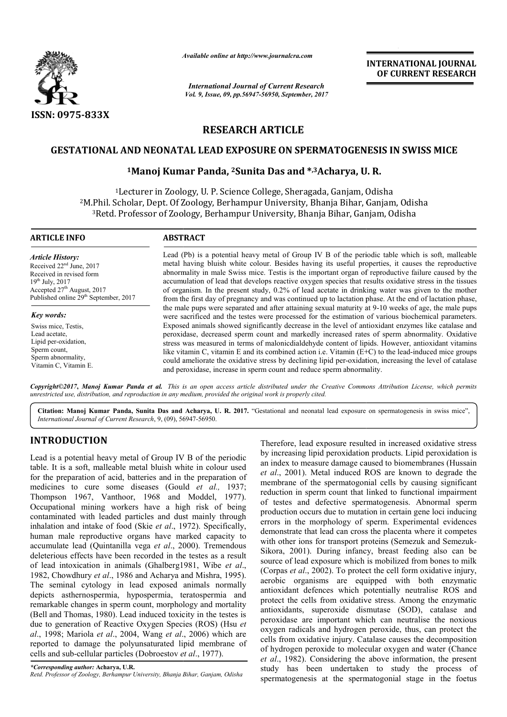

*Available online at http://www.journal http://www.journalcra.com*

*International Journal of Current Research Vol. 9, Issue, 09, pp.56947-56950, September, 2017* **INTERNATIONAL JOURNAL OF CURRENT RESEARCH** 

# **RESEARCH ARTICLE**

## **GESTATIONAL AND NEONATAL LEAD EXPOSURE ON SPERMATOGENESIS IN SWISS MICE**

## **1Manoj Kumar Panda, Manoj 2Sunita Das and \*,3Acharya, U. U. R.**

<sup>1</sup>Lecturer in Zoology, U. P. Science College, Sheragada, Ganjam, Odisha <sup>2</sup>M.Phil. Scholar, Dept. Of Zoology, Berhampur University, Bhanja Bihar, Ganjam, Odisha Phil. Scholar, Dept. Of Zoology, Berhampur University, Bhanja Bihar, Ganjam, Odi:<br><sup>3</sup>Retd. Professor of Zoology, Berhampur University, Bhanja Bihar, Ganjam, Odisha

| <b>ARTICLE INFO</b>                                                                                                                                                                                      | <b>ABSTRACT</b>                                                                                                                                                                                                                                                                                                                                                                                                                                                                                                                                                                                                                                                                                                                                                                                                          |  |  |  |
|----------------------------------------------------------------------------------------------------------------------------------------------------------------------------------------------------------|--------------------------------------------------------------------------------------------------------------------------------------------------------------------------------------------------------------------------------------------------------------------------------------------------------------------------------------------------------------------------------------------------------------------------------------------------------------------------------------------------------------------------------------------------------------------------------------------------------------------------------------------------------------------------------------------------------------------------------------------------------------------------------------------------------------------------|--|--|--|
| <b>Article History:</b><br>Received $22nd$ June, 2017<br>Received in revised form<br>$19^{th}$ July, 2017<br>Accepted 27 <sup>th</sup> August, 2017<br>Published online 29 <sup>th</sup> September, 2017 | Lead (Pb) is a potential heavy metal of Group IV B of the periodic table which is soft, malleable<br>metal having bluish white colour. Besides having its useful properties, it causes the reproductive<br>abnormality in male Swiss mice. Testis is the important organ of reproductive failure caused by the<br>accumulation of lead that develops reactive oxygen species that results oxidative stress in the tissues<br>of organism. In the present study, 0.2% of lead acetate in drinking water was given to the mother<br>from the first day of pregnancy and was continued up to lactation phase. At the end of lactation phase,                                                                                                                                                                                |  |  |  |
| Key words:<br>Swiss mice, Testis,<br>Lead acetate.<br>Lipid per-oxidation,<br>Sperm count,<br>Sperm abnormality,<br>Vitamin C, Vitamin E.                                                                | the male pups were separated and after attaining sexual maturity at 9-10 weeks of age, the male pups<br>were sacrificed and the testes were processed for the estimation of various biochemical parameters.<br>Exposed animals showed significantly decrease in the level of antioxidant enzymes like catalase and<br>peroxidase, decreased sperm count and markedly increased rates of sperm abnormality. Oxidative<br>stress was measured in terms of malonic dialdehyde content of lipids. However, antioxidant vitamins<br>like vitamin C, vitamin E and its combined action i.e. Vitamin (E+C) to the lead-induced mice groups<br>could ameliorate the oxidative stress by declining lipid per-oxidation, increasing the level of catalase<br>and peroxidase, increase in sperm count and reduce sperm abnormality. |  |  |  |

*Copyright©2017***,** *Manoj Kumar Panda et al. This is an open access article distributed under the Creative Commons Att Attribution License, which permits unrestricted use, distribution, and reproduction in any medium, provided the original work is properly cited.*

Citation: Manoj Kumar Panda, Sunita Das and Acharya, U. R. 2017. "Gestational and neonatal lead exposure on spermatogenesis in swiss mice", *International Journal of Current Research*, 9, (09), 56947 56947-56950.

# **INTRODUCTION**

Lead is a potential heavy metal of Group IV B of the periodic table. It is a soft, malleable metal bluish white in colour used for the preparation of acid, batteries and in the preparation of medicines to cure some diseases (Gould *et al.,* 1937; Thompson 1967, Vanthoor, 1968 and Moddel, 1977). Occupational mining workers have a high risk of being contaminated with leaded particles and dust mainly through inhalation and intake of food (Skie *et al*., 1972). Specifically, human male reproductive organs have marked capacity to accumulate lead (Quintanilla vega *et al*., 2000). Tremendous deleterious effects have been recorded in the testes as a result of lead intoxication in animals (Ghalberg1981, Wibe *et al*., 1982, Chowdhury et al., 1986 and Acharya and Mishra, 1995). The seminal cytology in lead exposed animals normally depicts asthernospermia, hypospermia, teratospermia and remarkable changes in sperm count, morphology and mortality (Bell and Thomas, 1980). Lead induced toxicity in the testes is due to generation of Reactive Oxygen Species (ROS) (Hsu et *al*., 1998; Mariola *et al*., 2004, Wang *et al*., 2006) which are reported to damage the polyunsaturated lipid membrane of cells and sub-cellular particles (Dobroestov *et al* ., 1977). 67, Vanthoor, 1968 and Moddel, 1977).<br>mining workers have a high risk of being<br>with leaded particles and dust mainly through<br>intake of food (Skie *et al.*, 1972). Specifically,<br>eproductive organs have marked capacity to Therefore, lead exposure resulted in increased oxidative stress by increasing lipid peroxidation products. Lipid peroxidation is an index to measure damage caused to biomembranes (Hussain *et al*., 2001). Metal induced ROS are known to degrade the membrane of the spermatogonial cells by causing significant reduction in sperm count that linked to functional impairment of testes and defective spermatogenesis. Abnormal sperm production occurs due to mutation in certain gene loci inducing errors in the morphology of sperm. Experimental evidences demonstrate that lead can cross the placenta where it competes with other ions for transport proteins (Semezuk and Semezuk Sikora, 2001). During infancy, breast feeding also can be Sikora, 2001). During infancy, breast feeding also can be source of lead exposure which is mobilized from bones to milk (Corpas *et al*., 2002). To protect the cell form oxidative injury, aerobic organisms are equipped with both enzymatic antioxidant defences which potentially neutralise ROS and protect the cells from oxidative stress. Among the enzymatic antioxidants, superoxide dismutase (SOD), catalase and peroxidase are important which can neutralise the noxious oxygen radicals and hydrogen peroxide, thus, can protect the cells from oxidative injury. Catalase causes the decomposition of hydrogen peroxide to molecular oxygen and water (Chance *et al*., 1982). Considering the above information, the present study has been undertaken to study the process of spermatogenesis at the spermatogonial stage in the foetus Therefore, lead exposure resulted in increased oxidative stress<br>by increasing lipid peroxidation products. Lipid peroxidation is<br>an index to measure damage caused to biomembranes (Hussain<br>*et al.*, 2001). Metal induced ROS **EXPERIMATIONAL JOURNAL CONDUCT CONDUCT CONDUCT CONDUCT CONDUCT CONDUCT CONDUCT CONDUCT CONDUCT CONDUCT CONDUCT CONDUCT CONDUCT CONDUCT CONDUCT CONDUCT CONDUCT CONDUCT CONDUCT CONDUCT CONDUCT CONDUCT CONDUCT CONDUCT CONDU** 

*<sup>\*</sup>Corresponding author:* **Acharya, U.R.** *Retd. Professor of Zoology, Berhampur University, Bhanja Bihar, Ganjam, Odisha*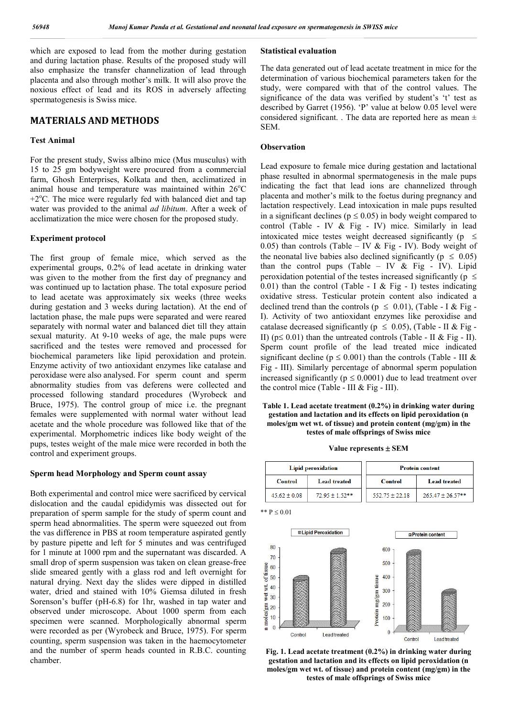which are exposed to lead from the mother during gestation and during lactation phase. Results of the proposed study will also emphasize the transfer channelization of lead through placenta and also through mother's milk. It will also prove the noxious effect of lead and its ROS in adversely affecting spermatogenesis is Swiss mice.

## **MATERIALS AND METHODS**

#### **Test Animal**

For the present study, Swiss albino mice (Mus musculus) with 15 to 25 gm bodyweight were procured from a commercial farm, Ghosh Enterprises, Kolkata and then, acclimatized in animal house and temperature was maintained within  $26^{\circ}$ C +2°C. The mice were regularly fed with balanced diet and tap water was provided to the animal *ad libitum*. After a week of acclimatization the mice were chosen for the proposed study.

### **Experiment protocol**

The first group of female mice, which served as the experimental groups, 0.2% of lead acetate in drinking water was given to the mother from the first day of pregnancy and was continued up to lactation phase. The total exposure period to lead acetate was approximately six weeks (three weeks during gestation and 3 weeks during lactation). At the end of lactation phase, the male pups were separated and were reared separately with normal water and balanced diet till they attain sexual maturity. At 9-10 weeks of age, the male pups were sacrificed and the testes were removed and processed for biochemical parameters like lipid peroxidation and protein. Enzyme activity of two antioxidant enzymes like catalase and peroxidase were also analysed. For sperm count and sperm abnormality studies from vas deferens were collected and processed following standard procedures (Wyrobeck and Bruce, 1975). The control group of mice i.e. the pregnant females were supplemented with normal water without lead acetate and the whole procedure was followed like that of the experimental. Morphometric indices like body weight of the pups, testes weight of the male mice were recorded in both the control and experiment groups.

### **Sperm head Morphology and Sperm count assay**

Both experimental and control mice were sacrificed by cervical dislocation and the caudal epididymis was dissected out for preparation of sperm sample for the study of sperm count and sperm head abnormalities. The sperm were squeezed out from the vas difference in PBS at room temperature aspirated gently by pasture pipette and left for 5 minutes and was centrifuged for 1 minute at 1000 rpm and the supernatant was discarded. A small drop of sperm suspension was taken on clean grease-free slide smeared gently with a glass rod and left overnight for natural drying. Next day the slides were dipped in distilled water, dried and stained with 10% Giemsa diluted in fresh Sorenson's buffer (pH-6.8) for 1hr, washed in tap water and observed under microscope. About 1000 sperm from each specimen were scanned. Morphologically abnormal sperm were recorded as per (Wyrobeck and Bruce, 1975). For sperm counting, sperm suspension was taken in the haemocytometer and the number of sperm heads counted in R.B.C. counting chamber.

#### **Statistical evaluation**

The data generated out of lead acetate treatment in mice for the determination of various biochemical parameters taken for the study, were compared with that of the control values. The significance of the data was verified by student's 't' test as described by Garret (1956). 'P' value at below 0.05 level were considered significant. . The data are reported here as mean  $\pm$ SEM.

### **Observation**

\*\*  $P < 0.01$ 

Lead exposure to female mice during gestation and lactational phase resulted in abnormal spermatogenesis in the male pups indicating the fact that lead ions are channelized through placenta and mother's milk to the foetus during pregnancy and lactation respectively. Lead intoxication in male pups resulted in a significant declines ( $p \le 0.05$ ) in body weight compared to control (Table - IV & Fig - IV) mice. Similarly in lead intoxicated mice testes weight decreased significantly ( $p \leq$ 0.05) than controls (Table – IV & Fig - IV). Body weight of the neonatal live babies also declined significantly ( $p \leq 0.05$ ) than the control pups (Table – IV  $\&$  Fig - IV). Lipid peroxidation potential of the testes increased significantly ( $p \le$ 0.01) than the control (Table - I & Fig - I) testes indicating oxidative stress. Testicular protein content also indicated a declined trend than the controls ( $p \le 0.01$ ), (Table - I & Fig -I). Activity of two antioxidant enzymes like peroxidise and catalase decreased significantly ( $p \le 0.05$ ), (Table - II & Fig -II) ( $p \le 0.01$ ) than the untreated controls (Table - II & Fig - II). Sperm count profile of the lead treated mice indicated significant decline ( $p \le 0.001$ ) than the controls (Table - III & Fig - III). Similarly percentage of abnormal sperm population increased significantly ( $p \le 0.0001$ ) due to lead treatment over the control mice (Table - III  $&$  Fig - III).

**Table 1. Lead acetate treatment (0.2%) in drinking water during gestation and lactation and its effects on lipid peroxidation (n moles/gm wet wt. of tissue) and protein content (mg/gm) in the testes of male offsprings of Swiss mice**

#### **Value represents SEM**

| <b>Lipid peroxidation</b> |                  | <b>Protein content</b> |                       |  |
|---------------------------|------------------|------------------------|-----------------------|--|
| Control                   | Lead treated     | Control                | Lead treated          |  |
| $45.62 \pm 0.08$          | $72.95 + 1.52**$ | $552.75 + 22.18$       | $265.47 \pm 26.57$ ** |  |

**ELipid Peroxidation EProtein content** 80 600  $70$ 500  $\frac{1}{2}$  of tissue<br> $\frac{1}{2}$  60 400 Protein mg/gm tissue  $\sharp$  40 300  $\frac{1}{2}$  30  $\frac{\text{cm}}{\text{mole}}$  20<br> $\frac{\text{m}}{\text{m}}$ 200  $100$  $\overline{0}$  $\sqrt{2}$ Control Lead treated Control **Lead treated** 

**Fig. 1. Lead acetate treatment (0.2%) in drinking water during gestation and lactation and its effects on lipid peroxidation (n moles/gm wet wt. of tissue) and protein content (mg/gm) in the testes of male offsprings of Swiss mice**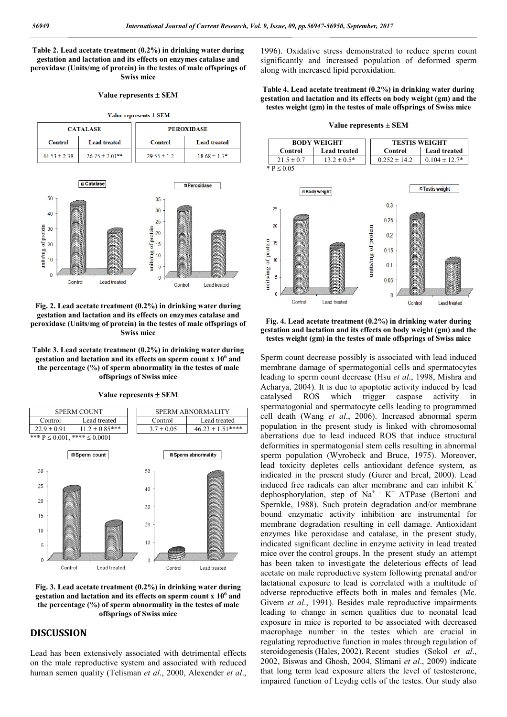**Table 2. Lead acetate treatment (0.2%) in drinking water during gestation and lactation and its effects on enzymes catalase and peroxidase (Units/mg of protein) in the testes of male offsprings of Swiss mice**

#### **Value represents SEM**

Value represents ± SEM

| <b>CATALASE</b> |                     | <b>PEROXIDASE</b> |                     |  |
|-----------------|---------------------|-------------------|---------------------|--|
| Control         | <b>Lead treated</b> | <b>Control</b>    | <b>Lead treated</b> |  |
| $44.53 + 2.38$  | $26.75 \pm 2.01$ ** | $29.55 + 1.2$     | $1868 + 17*$        |  |



### **Fig. 2. Lead acetate treatment (0.2%) in drinking water during gestation and lactation and its effects on enzymes catalase and peroxidase (Units/mg of protein) in the testes of male offsprings of Swiss mice**

**Table 3. Lead acetate treatment (0.2%) in drinking water during gestation and lactation and its effects on sperm count x 10<sup>6</sup> and the percentage (%) of sperm abnormality in the testes of male offsprings of Swiss mice**

**Value represents**  $\pm$  **SEM** 





**Fig. 3. Lead acetate treatment (0.2%) in drinking water during gestation and lactation and its effects on sperm count x 10<sup>6</sup> and the percentage (%) of sperm abnormality in the testes of male offsprings of Swiss mice**

# **DISCUSSION**

Lead has been extensively associated with detrimental effects on the male reproductive system and associated with reduced human semen quality (Telisman *et al*., 2000, Alexender *et al*.,

1996). Oxidative stress demonstrated to reduce sperm count significantly and increased population of deformed sperm along with increased lipid peroxidation.

**Table 4. Lead acetate treatment (0.2%) in drinking water during gestation and lactation and its effects on body weight (gm) and the testes weight (gm) in the testes of male offsprings of Swiss mice**

#### **Value represents**  $\pm$  **SEM**

| <b>BODY WEIGHT</b> |                     | <b>TESTIS WEIGHT</b> |                     |  |
|--------------------|---------------------|----------------------|---------------------|--|
| Control            | <b>Lead treated</b> | Control              | <b>Lead treated</b> |  |
| $21.5 + 0.7$       | $13.2 + 0.5*$       | $0.252 + 14.2$       | $0.104 + 12.7*$     |  |
| $*P < 0.05$        |                     |                      |                     |  |



**Fig. 4. Lead acetate treatment (0.2%) in drinking water during gestation and lactation and its effects on body weight (gm) and the testes weight (gm) in the testes of male offsprings of Swiss mice**

Sperm count decrease possibly is associated with lead induced membrane damage of spermatogonial cells and spermatocytes leading to sperm count decrease (Hsu *et al*., 1998, Mishra and Acharya, 2004). It is due to apoptotic activity induced by lead catalysed ROS which trigger caspase activity in spermatogonial and spermatocyte cells leading to programmed cell death (Wang *et al*., 2006). Increased abnormal sperm population in the present study is linked with chromosomal aberrations due to lead induced ROS that induce structural deformities in spermatogonial stem cells resulting in abnormal sperm population (Wyrobeck and Bruce, 1975). Moreover, lead toxicity depletes cells antioxidant defence system, as indicated in the present study (Gurer and Ercal, 2000). Lead induced free radicals can alter membrane and can inhibit  $K^+$ dephosphorylation, step of Na<sup>+</sup>  $K^+$  ATPase (Bertoni and Spernkle, 1988). Such protein degradation and/or membrane bound enzymatic activity inhibition are instrumental for membrane degradation resulting in cell damage. Antioxidant enzymes like peroxidase and catalase, in the present study, indicated significant decline in enzyme activity in lead treated mice over the control groups. In the present study an attempt has been taken to investigate the deleterious effects of lead acetate on male reproductive system following prenatal and/or lactational exposure to lead is correlated with a multitude of adverse reproductive effects both in males and females (Mc. Givern *et al*., 1991). Besides male reproductive impairments leading to change in semen qualities due to neonatal lead exposure in mice is reported to be associated with decreased macrophage number in the testes which are crucial in regulating reproductive function in males through regulation of steroidogenesis (Hales, 2002). Recent studies (Sokol *et al*., 2002, Biswas and Ghosh, 2004, Slimani *et al*., 2009) indicate that long term lead exposure alters the level of testosterone, impaired function of Leydig cells of the testes. Our study also